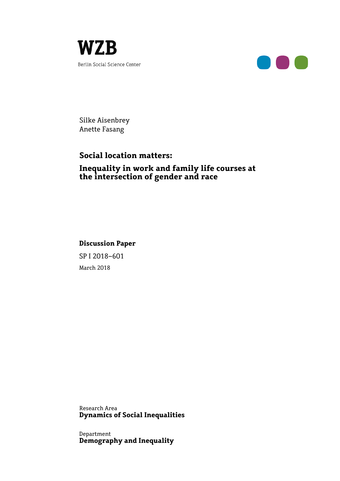



Silke Aisenbrey Anette Fasang

# **Social location matters:**

### **Inequality in work and family life courses at the intersection of gender and race**

## **Discussion Paper**

SP I 2018–601 March 2018

Research Area **Dynamics of Social Inequalities** 

Department **Demography and Inequality**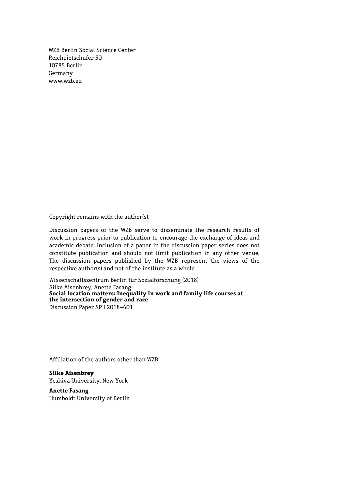WZB Berlin Social Science Center Reichpietschufer 50 10785 Berlin Germany www.wzb.eu

Copyright remains with the author(s).

Discussion papers of the WZB serve to disseminate the research results of work in progress prior to publication to encourage the exchange of ideas and academic debate. Inclusion of a paper in the discussion paper series does not constitute publication and should not limit publication in any other venue. The discussion papers published by the WZB represent the views of the respective author(s) and not of the institute as a whole.

Wissenschaftszentrum Berlin für Sozialforschung (2018) Silke Aisenbrey, Anette Fasang **Social location matters: Inequality in work and family life courses at the intersection of gender and race**  Discussion Paper SP I 2018–601

Affiliation of the authors other than WZB:

**Silke Aisenbrey**  Yeshiva University, New York

**Anette Fasang** Humboldt University of Berlin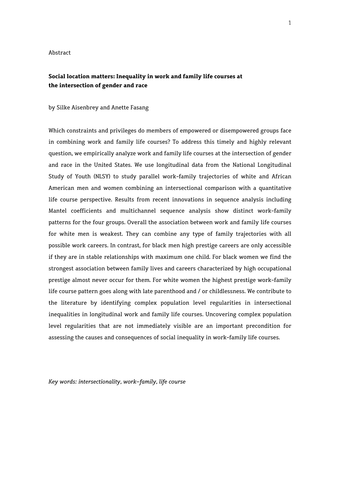#### Abstract

### **Social location matters: Inequality in work and family life courses at the intersection of gender and race**

#### by Silke Aisenbrey and Anette Fasang

Which constraints and privileges do members of empowered or disempowered groups face in combining work and family life courses? To address this timely and highly relevant question, we empirically analyze work and family life courses at the intersection of gender and race in the United States. We use longitudinal data from the National Longitudinal Study of Youth (NLSY) to study parallel work-family trajectories of white and African American men and women combining an intersectional comparison with a quantitative life course perspective. Results from recent innovations in sequence analysis including Mantel coefficients and multichannel sequence analysis show distinct work-family patterns for the four groups. Overall the association between work and family life courses for white men is weakest. They can combine any type of family trajectories with all possible work careers. In contrast, for black men high prestige careers are only accessible if they are in stable relationships with maximum one child. For black women we find the strongest association between family lives and careers characterized by high occupational prestige almost never occur for them. For white women the highest prestige work-family life course pattern goes along with late parenthood and / or childlessness. We contribute to the literature by identifying complex population level regularities in intersectional inequalities in longitudinal work and family life courses. Uncovering complex population level regularities that are not immediately visible are an important precondition for assessing the causes and consequences of social inequality in work-family life courses.

*Key words: intersectionality, work-family, life course*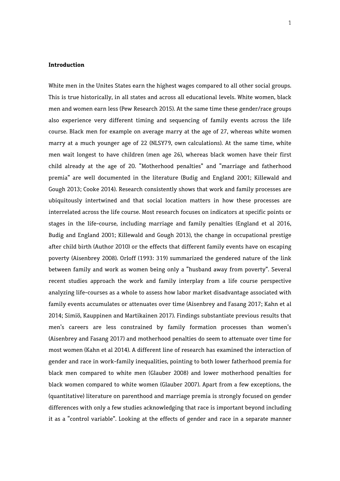#### **Introduction**

White men in the Unites States earn the highest wages compared to all other social groups. This is true historically, in all states and across all educational levels. White women, black men and women earn less (Pew Research 2015). At the same time these gender/race groups also experience very different timing and sequencing of family events across the life course. Black men for example on average marry at the age of 27, whereas white women marry at a much younger age of 22 (NLSY79, own calculations). At the same time, white men wait longest to have children (men age 26), whereas black women have their first child already at the age of 20. "Motherhood penalties" and "marriage and fatherhood premia" are well documented in the literature (Budig and England 2001; Killewald and Gough 2013; Cooke 2014). Research consistently shows that work and family processes are ubiquitously intertwined and that social location matters in how these processes are interrelated across the life course. Most research focuses on indicators at specific points or stages in the life-course, including marriage and family penalties (England et al 2016, Budig and England 2001; Killewald and Gough 2013), the change in occupational prestige after child birth (Author 2010) or the effects that different family events have on escaping poverty (Aisenbrey 2008). Orloff (1993: 319) summarized the gendered nature of the link between family and work as women being only a "husband away from poverty". Several recent studies approach the work and family interplay from a life course perspective analyzing life-courses as a whole to assess how labor market disadvantage associated with family events accumulates or attenuates over time (Aisenbrey and Fasang 2017; Kahn et al 2014; Simiö, Kauppinen and Martikainen 2017). Findings substantiate previous results that men's careers are less constrained by family formation processes than women's (Aisenbrey and Fasang 2017) and motherhood penalties do seem to attenuate over time for most women (Kahn et al 2014). A different line of research has examined the interaction of gender and race in work-family inequalities, pointing to both lower fatherhood premia for black men compared to white men (Glauber 2008) and lower motherhood penalties for black women compared to white women (Glauber 2007). Apart from a few exceptions, the (quantitative) literature on parenthood and marriage premia is strongly focused on gender differences with only a few studies acknowledging that race is important beyond including it as a "control variable". Looking at the effects of gender and race in a separate manner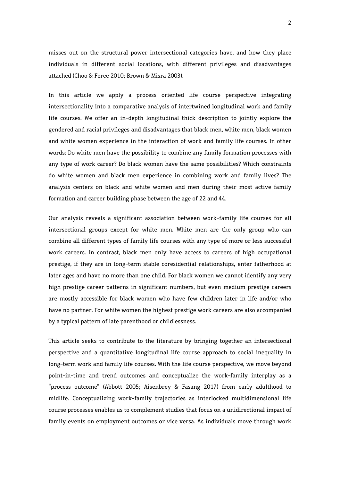misses out on the structural power intersectional categories have, and how they place individuals in different social locations, with different privileges and disadvantages attached (Choo & Feree 2010; Brown & Misra 2003).

In this article we apply a process oriented life course perspective integrating intersectionality into a comparative analysis of intertwined longitudinal work and family life courses. We offer an in-depth longitudinal thick description to jointly explore the gendered and racial privileges and disadvantages that black men, white men, black women and white women experience in the interaction of work and family life courses. In other words: Do white men have the possibility to combine any family formation processes with any type of work career? Do black women have the same possibilities? Which constraints do white women and black men experience in combining work and family lives? The analysis centers on black and white women and men during their most active family formation and career building phase between the age of 22 and 44.

Our analysis reveals a significant association between work-family life courses for all intersectional groups except for white men. White men are the only group who can combine all different types of family life courses with any type of more or less successful work careers. In contrast, black men only have access to careers of high occupational prestige, if they are in long-term stable coresidential relationships, enter fatherhood at later ages and have no more than one child. For black women we cannot identify any very high prestige career patterns in significant numbers, but even medium prestige careers are mostly accessible for black women who have few children later in life and/or who have no partner. For white women the highest prestige work careers are also accompanied by a typical pattern of late parenthood or childlessness.

This article seeks to contribute to the literature by bringing together an intersectional perspective and a quantitative longitudinal life course approach to social inequality in long-term work and family life courses. With the life course perspective, we move beyond point-in-time and trend outcomes and conceptualize the work-family interplay as a "process outcome" (Abbott 2005; Aisenbrey & Fasang 2017) from early adulthood to midlife. Conceptualizing work-family trajectories as interlocked multidimensional life course processes enables us to complement studies that focus on a unidirectional impact of family events on employment outcomes or vice versa. As individuals move through work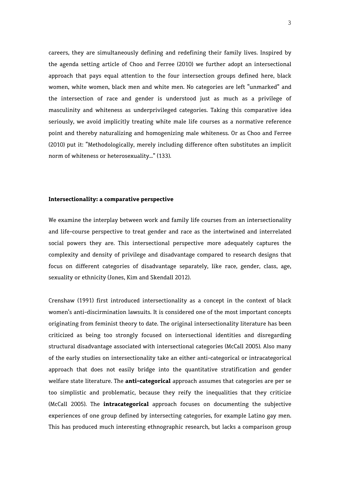careers, they are simultaneously defining and redefining their family lives. Inspired by the agenda setting article of Choo and Ferree (2010) we further adopt an intersectional approach that pays equal attention to the four intersection groups defined here, black women, white women, black men and white men. No categories are left "unmarked" and the intersection of race and gender is understood just as much as a privilege of masculinity and whiteness as underprivileged categories. Taking this comparative idea seriously, we avoid implicitly treating white male life courses as a normative reference point and thereby naturalizing and homogenizing male whiteness. Or as Choo and Ferree (2010) put it: "Methodologically, merely including difference often substitutes an implicit norm of whiteness or heterosexuality…" (133).

#### **Intersectionality: a comparative perspective**

We examine the interplay between work and family life courses from an intersectionality and life-course perspective to treat gender and race as the intertwined and interrelated social powers they are. This intersectional perspective more adequately captures the complexity and density of privilege and disadvantage compared to research designs that focus on different categories of disadvantage separately, like race, gender, class, age, sexuality or ethnicity (Jones, Kim and Skendall 2012).

Crenshaw (1991) first introduced intersectionality as a concept in the context of black women's anti-discirmination lawsuits. It is considered one of the most important concepts originating from feminist theory to date. The original intersectionality literature has been criticized as being too strongly focused on intersectional identities and disregarding structural disadvantage associated with intersectional categories (McCall 2005). Also many of the early studies on intersectionality take an either anti-categorical or intracategorical approach that does not easily bridge into the quantitative stratification and gender welfare state literature. The **anti-categorical** approach assumes that categories are per se too simplistic and problematic, because they reify the inequalities that they criticize (McCall 2005). The **intracategorical** approach focuses on documenting the subjective experiences of one group defined by intersecting categories, for example Latino gay men. This has produced much interesting ethnographic research, but lacks a comparison group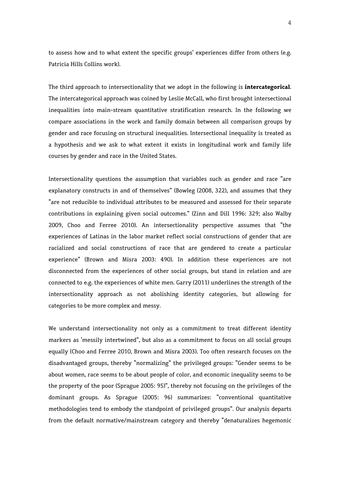to assess how and to what extent the specific groups' experiences differ from others (e.g. Patricia Hills Collins work).

The third approach to intersectionality that we adopt in the following is **intercategorical**. The intercategorical approach was coined by Leslie McCall, who first brought intersectional inequalities into main-stream quantitative stratification research. In the following we compare associations in the work and family domain between all comparison groups by gender and race focusing on structural inequalities. Intersectional inequality is treated as a hypothesis and we ask to what extent it exists in longitudinal work and family life courses by gender and race in the United States.

Intersectionality questions the assumption that variables such as gender and race "are explanatory constructs in and of themselves" (Bowleg (2008, 322), and assumes that they "are not reducible to individual attributes to be measured and assessed for their separate contributions in explaining given social outcomes." (Zinn and Dill 1996: 329; also Walby 2009, Choo and Ferree 2010). An intersectionality perspective assumes that "the experiences of Latinas in the labor market reflect social constructions of gender that are racialized and social constructions of race that are gendered to create a particular experience" (Brown and Misra 2003: 490). In addition these experiences are not disconnected from the experiences of other social groups, but stand in relation and are connected to e.g. the experiences of white men. Garry (2011) underlines the strength of the intersectionality approach as not abolishing identity categories, but allowing for categories to be more complex and messy.

We understand intersectionality not only as a commitment to treat different identity markers as 'messily intertwined", but also as a commitment to focus on all social groups equally (Choo and Ferree 2010, Brown and Misra 2003). Too often research focuses on the disadvantaged groups, thereby "normalizing" the privileged groups: "Gender seems to be about women, race seems to be about people of color, and economic inequality seems to be the property of the poor (Sprague 2005: 95)", thereby not focusing on the privileges of the dominant groups. As Sprague (2005: 96) summarizes: "conventional quantitative methodologies tend to embody the standpoint of privileged groups". Our analysis departs from the default normative/mainstream category and thereby "denaturalizes hegemonic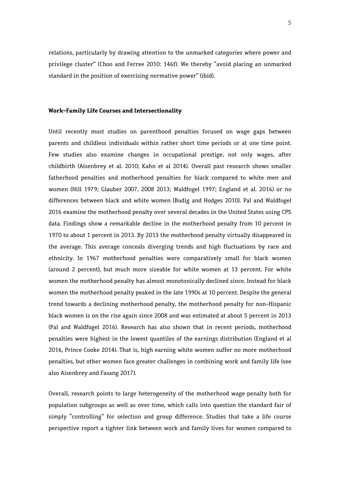relations, particularly by drawing attention to the unmarked categories where power and privilege cluster" (Choo and Ferree 2010: 146f). We thereby "avoid placing an unmarked standard in the position of exercising normative power" (ibid).

#### **Work-Family Life Courses and Intersectionality**

Until recently most studies on parenthood penalties focused on wage gaps between parents and childless individuals within rather short time periods or at one time point. Few studies also examine changes in occupational prestige, not only wages, after childbirth (Aisenbrey et al. 2010; Kahn et al 2014). Overall past research shows smaller fatherhood penalties and motherhood penalties for black compared to white men and women (Hill 1979; Glauber 2007, 2008 2013; Waldfogel 1997; England et al. 2016) or no differences between black and white women (Budig and Hodges 2010). Pal and Waldfogel 2016 examine the motherhood penalty over several decades in the United States using CPS data. Findings show a remarkable decline in the motherhood penalty from 10 percent in 1970 to about 1 percent in 2013. By 2013 the motherhood penalty virtually disappeared in the average. This average conceals diverging trends and high fluctuations by race and ethnicity. In 1967 motherhood penalties were comparatively small for black women (around 2 percent), but much more sizeable for white women at 13 percent. For white women the motherhood penalty has almost monotonically declined since. Instead for black women the motherhood penalty peaked in the late 1990s at 10 percent. Despite the general trend towards a declining motherhood penalty, the motherhood penalty for non-Hispanic black women is on the rise again since 2008 and was estimated at about 5 percent in 2013 (Pal and Waldfogel 2016). Research has also shown that in recent periods, motherhood penalties were highest in the lowest quantiles of the earnings distribution (England et al 2016, Prince Cooke 2014). That is, high earning white women suffer no more motherhood penalties, but other women face greater challenges in combining work and family life (see also Aisenbrey and Fasang 2017).

Overall, research points to large heterogeneity of the motherhood wage penalty both for population subgroups as well as over time, which calls into question the standard fair of simply "controlling" for selection and group difference. Studies that take a life course perspective report a tighter link between work and family lives for women compared to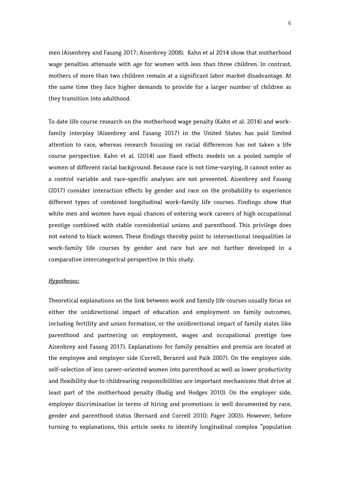men (Aisenbrey and Fasang 2017; Aisenbrey 2008). Kahn et al 2014 show that motherhood wage penalties attenuate with age for women with less than three children. In contrast, mothers of more than two children remain at a significant labor market disadvantage. At the same time they face higher demands to provide for a larger number of children as they transition into adulthood.

To date life course research on the motherhood wage penalty (Kahn et al. 2014) and workfamily interplay (Aisenbrey and Fasang 2017) in the United States has paid limited attention to race, whereas research focusing on racial differences has not taken a life course perspective. Kahn et al. (2014) use fixed effects models on a pooled sample of women of different racial background. Because race is not time-varying, it cannot enter as a control variable and race-specific analyses are not presented. Aisenbrey and Fasang (2017) consider interaction effects by gender and race on the probability to experience different types of combined longitudinal work-family life courses. Findings show that white men and women have equal chances of entering work careers of high occupational prestige combined with stable coresidential unions and parenthood. This privilege does not extend to black women. These findings thereby point to intersectional inequalities in work-family life courses by gender and race but are not further developed in a comparative intercategorical perspective in this study.

#### *Hypotheses:*

Theoretical explanations on the link between work and family life courses usually focus on either the unidirectional impact of education and employment on family outcomes, including fertility and union formation, or the unidirectional impact of family states like parenthood and partnering on employment, wages and occupational prestige (see Aisenbrey and Fasang 2017). Explanations for family penalties and premia are located at the employee and employer side (Correll, Beranrd and Paik 2007). On the employee side, self-selection of less career-oriented women into parenthood as well as lower productivity and flexibility due to childrearing responsibilities are important mechanisms that drive at least part of the motherhood penalty (Budig and Hodges 2010). On the employer side, employer discrimination in terms of hiring and promotions is well documented by race, gender and parenthood status (Bernard and Correll 2010; Pager 2003). However, before turning to explanations, this article seeks to identify longitudinal complex "population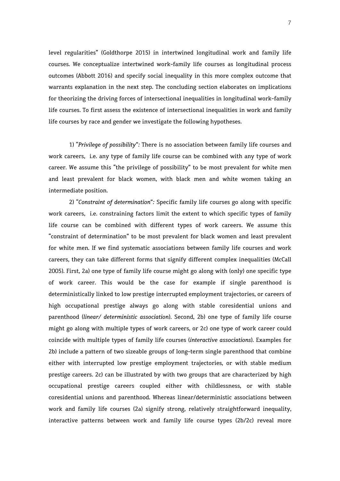level regularities" (Goldthorpe 2015) in intertwined longitudinal work and family life courses. We conceptualize intertwined work-family life courses as longitudinal process outcomes (Abbott 2016) and specify social inequality in this more complex outcome that warrants explanation in the next step. The concluding section elaborates on implications for theorizing the driving forces of intersectional inequalities in longitudinal work-family life courses. To first assess the existence of intersectional inequalities in work and family life courses by race and gender we investigate the following hypotheses.

1) *"Privilege of possibility":* There is no association between family life courses and work careers, i.e. any type of family life course can be combined with any type of work career. We assume this "the privilege of possibility" to be most prevalent for white men and least prevalent for black women, with black men and white women taking an intermediate position.

2) *"Constraint of determination":* Specific family life courses go along with specific work careers, i.e. constraining factors limit the extent to which specific types of family life course can be combined with different types of work careers. We assume this "constraint of determination" to be most prevalent for black women and least prevalent for white men. If we find systematic associations between family life courses and work careers, they can take different forms that signify different complex inequalities (McCall 2005). First, 2a) one type of family life course might go along with (only) one specific type of work career. This would be the case for example if single parenthood is deterministically linked to low prestige interrupted employment trajectories, or careers of high occupational prestige always go along with stable coresidential unions and parenthood (*linear/ deterministic association*). Second, 2b) one type of family life course might go along with multiple types of work careers, or 2c) one type of work career could coincide with multiple types of family life courses (*interactive associations*). Examples for 2b) include a pattern of two sizeable groups of long-term single parenthood that combine either with interrupted low prestige employment trajectories, or with stable medium prestige careers. 2c) can be illustrated by with two groups that are characterized by high occupational prestige careers coupled either with childlessness, or with stable coresidential unions and parenthood. Whereas linear/deterministic associations between work and family life courses (2a) signify strong, relatively straightforward inequality, interactive patterns between work and family life course types (2b/2c) reveal more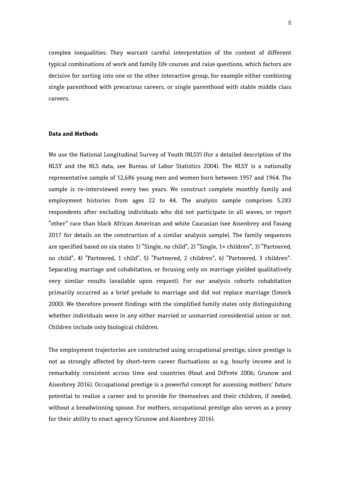complex inequalities. They warrant careful interpretation of the content of different typical combinations of work and family life courses and raise questions, which factors are decisive for sorting into one or the other interactive group, for example either combining single parenthood with precarious careers, or single parenthood with stable middle class careers.

#### **Data and Methods**

We use the National Longitudinal Survey of Youth (NLSY) (for a detailed description of the NLSY and the NLS data, see Bureau of Labor Statistics 2004). The NLSY is a nationally representative sample of 12,686 young men and women born between 1957 and 1964. The sample is re-interviewed every two years. We construct complete monthly family and employment histories from ages 22 to 44. The analysis sample comprises 5.283 respondents after excluding individuals who did not participate in all waves, or report "other" race than black African American and white Caucasian (see Aisenbrey and Fasang 2017 for details on the construction of a similar analysis sample). The family sequences are specified based on six states 1) "Single, no child", 2) "Single, 1+ children", 3) "Partnered, no child", 4) "Partnered, 1 child", 5) "Partnered, 2 children", 6) "Partnered, 3 children". Separating marriage and cohabitation, or focusing only on marriage yielded qualitatively very similar results (available upon request). For our analysis cohorts cohabitation primarily occurred as a brief prelude to marriage and did not replace marriage (Smock 2000). We therefore present findings with the simplified family states only distinguishing whether individuals were in any either married or unmarried coresidential union or not. Children include only biological children.

The employment trajectories are constructed using occupational prestige, since prestige is not as strongly affected by short-term career fluctuations as e.g. hourly income and is remarkably consistent across time and countries (Hout and DiPrete 2006; Grunow and Aisenbrey 2016). Occupational prestige is a powerful concept for assessing mothers' future potential to realize a career and to provide for themselves and their children, if needed, without a breadwinning spouse. For mothers, occupational prestige also serves as a proxy for their ability to enact agency (Grunow and Aisenbrey 2016).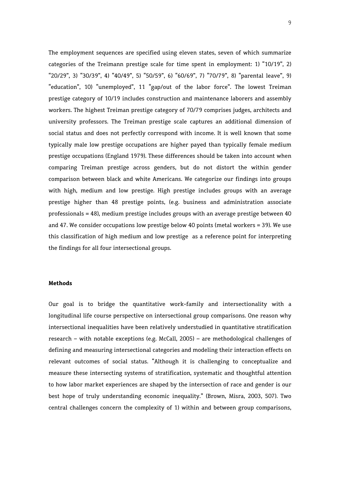The employment sequences are specified using eleven states, seven of which summarize categories of the Treimann prestige scale for time spent in employment: 1) "10/19", 2) "20/29", 3) "30/39", 4) "40/49", 5) "50/59", 6) "60/69", 7) "70/79", 8) "parental leave", 9) "education", 10) "unemployed", 11 "gap/out of the labor force". The lowest Treiman prestige category of 10/19 includes construction and maintenance laborers and assembly workers. The highest Treiman prestige category of 70/79 comprises judges, architects and university professors. The Treiman prestige scale captures an additional dimension of social status and does not perfectly correspond with income. It is well known that some typically male low prestige occupations are higher payed than typically female medium prestige occupations (England 1979). These differences should be taken into account when comparing Treiman prestige across genders, but do not distort the within gender comparison between black and white Americans. We categorize our findings into groups with high, medium and low prestige. High prestige includes groups with an average prestige higher than 48 prestige points, (e.g. business and administration associate professionals = 48), medium prestige includes groups with an average prestige between 40 and 47. We consider occupations low prestige below 40 points (metal workers = 39). We use this classification of high medium and low prestige as a reference point for interpreting the findings for all four intersectional groups.

#### **Methods**

Our goal is to bridge the quantitative work-family and intersectionality with a longitudinal life course perspective on intersectional group comparisons. One reason why intersectional inequalities have been relatively understudied in quantitative stratification research – with notable exceptions (e.g. McCall, 2005) – are methodological challenges of defining and measuring intersectional categories and modeling their interaction effects on relevant outcomes of social status. "Although it is challenging to conceptualize and measure these intersecting systems of stratification, systematic and thoughtful attention to how labor market experiences are shaped by the intersection of race and gender is our best hope of truly understanding economic inequality." (Brown, Misra, 2003, 507). Two central challenges concern the complexity of 1) within and between group comparisons,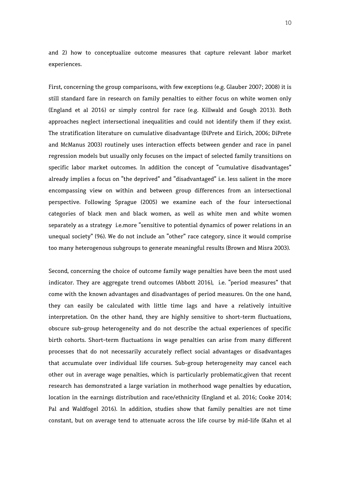and 2) how to conceptualize outcome measures that capture relevant labor market experiences.

First, concerning the group comparisons, with few exceptions (e.g. Glauber 2007; 2008) it is still standard fare in research on family penalties to either focus on white women only (England et al 2016) or simply control for race (e.g. Killwald and Gough 2013). Both approaches neglect intersectional inequalities and could not identify them if they exist. The stratification literature on cumulative disadvantage (DiPrete and Eirich, 2006; DiPrete and McManus 2003) routinely uses interaction effects between gender and race in panel regression models but usually only focuses on the impact of selected family transitions on specific labor market outcomes. In addition the concept of "cumulative disadvantages" already implies a focus on "the deprived" and "disadvantaged" i.e. less salient in the more encompassing view on within and between group differences from an intersectional perspective. Following Sprague (2005) we examine each of the four intersectional categories of black men and black women, as well as white men and white women separately as a strategy i.e.more "sensitive to potential dynamics of power relations in an unequal society" (96). We do not include an "other" race category, since it would comprise too many heterogenous subgroups to generate meaningful results (Brown and Misra 2003).

Second, concerning the choice of outcome family wage penalties have been the most used indicator. They are aggregate trend outcomes (Abbott 2016), i.e. "period measures" that come with the known advantages and disadvantages of period measures. On the one hand, they can easily be calculated with little time lags and have a relatively intuitive interpretation. On the other hand, they are highly sensitive to short-term fluctuations, obscure sub-group heterogeneity and do not describe the actual experiences of specific birth cohorts. Short-term fluctuations in wage penalties can arise from many different processes that do not necessarily accurately reflect social advantages or disadvantages that accumulate over individual life courses. Sub-group heterogeneity may cancel each other out in average wage penalties, which is particularly problematic,given that recent research has demonstrated a large variation in motherhood wage penalties by education, location in the earnings distribution and race/ethnicity (England et al. 2016; Cooke 2014; Pal and Waldfogel 2016). In addition, studies show that family penalties are not time constant, but on average tend to attenuate across the life course by mid-life (Kahn et al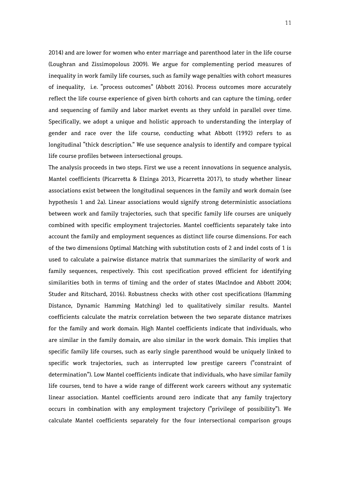2014) and are lower for women who enter marriage and parenthood later in the life course (Loughran and Zissimopolous 2009). We argue for complementing period measures of inequality in work family life courses, such as family wage penalties with cohort measures of inequality, i.e. "process outcomes" (Abbott 2016). Process outcomes more accurately reflect the life course experience of given birth cohorts and can capture the timing, order and sequencing of family and labor market events as they unfold in parallel over time. Specifically, we adopt a unique and holistic approach to understanding the interplay of gender and race over the life course, conducting what Abbott (1992) refers to as longitudinal "thick description." We use sequence analysis to identify and compare typical life course profiles between intersectional groups.

The analysis proceeds in two steps. First we use a recent innovations in sequence analysis, Mantel coefficients (Picarretta & Elzinga 2013, Picarretta 2017), to study whether linear associations exist between the longitudinal sequences in the family and work domain (see hypothesis 1 and 2a). Linear associations would signify strong deterministic associations between work and family trajectories, such that specific family life courses are uniquely combined with specific employment trajectories. Mantel coefficients separately take into account the family and employment sequences as distinct life course dimensions. For each of the two dimensions Optimal Matching with substitution costs of 2 and indel costs of 1 is used to calculate a pairwise distance matrix that summarizes the similarity of work and family sequences, respectively. This cost specification proved efficient for identifying similarities both in terms of timing and the order of states (MacIndoe and Abbott 2004; Studer and Ritschard, 2016). Robustness checks with other cost specifications (Hamming Distance, Dynamic Hamming Matching) led to qualitatively similar results. Mantel coefficients calculate the matrix correlation between the two separate distance matrixes for the family and work domain. High Mantel coefficients indicate that individuals, who are similar in the family domain, are also similar in the work domain. This implies that specific family life courses, such as early single parenthood would be uniquely linked to specific work trajectories, such as interrupted low prestige careers ("constraint of determination"). Low Mantel coefficients indicate that individuals, who have similar family life courses, tend to have a wide range of different work careers without any systematic linear association. Mantel coefficients around zero indicate that any family trajectory occurs in combination with any employment trajectory ("privilege of possibility"). We calculate Mantel coefficients separately for the four intersectional comparison groups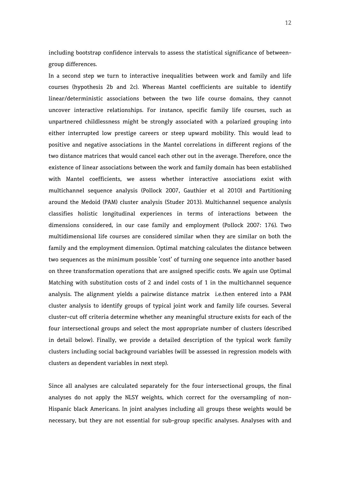including bootstrap confidence intervals to assess the statistical significance of betweengroup differences.

In a second step we turn to interactive inequalities between work and family and life courses (hypothesis 2b and 2c). Whereas Mantel coefficients are suitable to identify linear/deterministic associations between the two life course domains, they cannot uncover interactive relationships. For instance, specific family life courses, such as unpartnered childlessness might be strongly associated with a polarized grouping into either interrupted low prestige careers or steep upward mobility. This would lead to positive and negative associations in the Mantel correlations in different regions of the two distance matrices that would cancel each other out in the average. Therefore, once the existence of linear associations between the work and family domain has been established with Mantel coefficients, we assess whether interactive associations exist with multichannel sequence analysis (Pollock 2007, Gauthier et al 2010) and Partitioning around the Medoid (PAM) cluster analysis (Studer 2013). Multichannel sequence analysis classifies holistic longitudinal experiences in terms of interactions between the dimensions considered, in our case family and employment (Pollock 2007: 176). Two multidimensional life courses are considered similar when they are similar on both the family and the employment dimension. Optimal matching calculates the distance between two sequences as the minimum possible 'cost' of turning one sequence into another based on three transformation operations that are assigned specific costs. We again use Optimal Matching with substitution costs of 2 and indel costs of 1 in the multichannel sequence analysis. The alignment yields a pairwise distance matrix i.e.then entered into a PAM cluster analysis to identify groups of typical joint work and family life courses. Several cluster-cut off criteria determine whether any meaningful structure exists for each of the four intersectional groups and select the most appropriate number of clusters (described in detail below). Finally, we provide a detailed description of the typical work family clusters including social background variables (will be assessed in regression models with clusters as dependent variables in next step).

Since all analyses are calculated separately for the four intersectional groups, the final analyses do not apply the NLSY weights, which correct for the oversampling of non-Hispanic black Americans. In joint analyses including all groups these weights would be necessary, but they are not essential for sub-group specific analyses. Analyses with and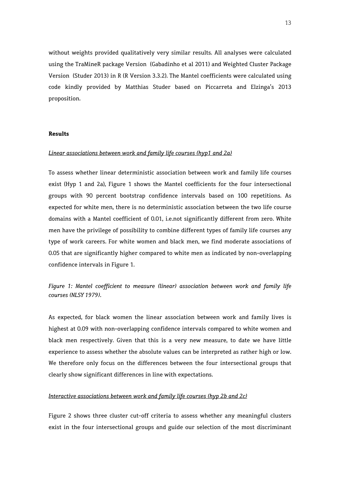without weights provided qualitatively very similar results. All analyses were calculated using the TraMineR package Version (Gabadinho et al 2011) and Weighted Cluster Package Version (Studer 2013) in R (R Version 3.3.2). The Mantel coefficients were calculated using code kindly provided by Matthias Studer based on Piccarreta and Elzinga's 2013 proposition.

#### **Results**

#### *Linear associations between work and family life courses (hyp1 and 2a)*

To assess whether linear deterministic association between work and family life courses exist (Hyp 1 and 2a), Figure 1 shows the Mantel coefficients for the four intersectional groups with 90 percent bootstrap confidence intervals based on 100 repetitions. As expected for white men, there is no deterministic association between the two life course domains with a Mantel coefficient of 0.01, i.e.not significantly different from zero. White men have the privilege of possibility to combine different types of family life courses any type of work careers. For white women and black men, we find moderate associations of 0.05 that are significantly higher compared to white men as indicated by non-overlapping confidence intervals in Figure 1.

*Figure 1: Mantel coefficient to measure (linear) association between work and family life courses (NLSY 1979).* 

As expected, for black women the linear association between work and family lives is highest at 0.09 with non-overlapping confidence intervals compared to white women and black men respectively. Given that this is a very new measure, to date we have little experience to assess whether the absolute values can be interpreted as rather high or low. We therefore only focus on the differences between the four intersectional groups that clearly show significant differences in line with expectations.

#### *Interactive associations between work and family life courses (hyp 2b and 2c)*

Figure 2 shows three cluster cut-off criteria to assess whether any meaningful clusters exist in the four intersectional groups and guide our selection of the most discriminant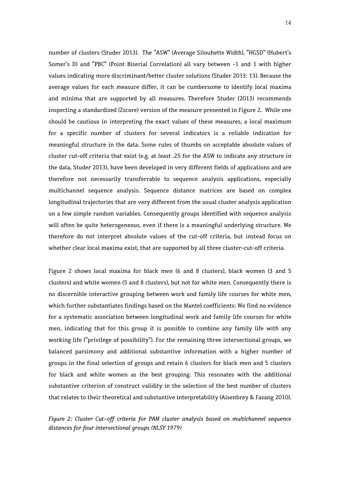number of clusters (Studer 2013). The "ASW" (Average Silouhette Width), "HGSD" (Hubert's Somer's D) and "PBC" (Point Biserial Correlation) all vary between -1 and 1 with higher values indicating more discriminant/better cluster solutions (Studer 2013: 13). Because the average values for each measure differ, it can be cumbersome to identify local maxima and minima that are supported by all measures. Therefore Studer (2013) recommends inspecting a standardized (Zscore) version of the measure presented in Figure 2. While one should be cautious in interpreting the exact values of these measures, a local maximum for a specific number of clusters for several indicators is a reliable indication for meaningful structure in the data. Some rules of thumbs on acceptable absolute values of cluster cut-off criteria that exist (e.g. at least .25 for the ASW to indicate any structure in the data, Studer 2013), have been developed in very different fields of applications and are therefore not necessarily transferrable to sequence analysis applications, especially multichannel sequence analysis. Sequence distance matrices are based on complex longitudinal trajectories that are very different from the usual cluster analysis application on a few simple random variables. Consequently groups identified with sequence analysis will often be quite heterogeneous, even if there is a meaningful underlying structure. We therefore do not interpret absolute values of the cut-off criteria, but instead focus on whether clear local maxima exist, that are supported by all three cluster-cut-off criteria.

Figure 2 shows local maxima for black men (6 and 8 clusters), black women (3 and 5 clusters) and white women (5 and 8 clusters), but not for white men. Consequently there is no discernible interactive grouping between work and family life courses for white men, which further substantiates findings based on the Mantel coefficients: We find no evidence for a systematic association between longitudinal work and family life courses for white men, indicating that for this group it is possible to combine any family life with any working life ("privilege of possibility"). For the remaining three intersectional groups, we balanced parsimony and additional substantive information with a higher number of groups in the final selection of groups and retain 6 clusters for black men and 5 clusters for black and white women as the best grouping. This resonates with the additional substantive criterion of construct validity in the selection of the best number of clusters that relates to their theoretical and substantive interpretability (Aisenbrey & Fasang 2010).

*Figure 2: Cluster Cut-off criteria for PAM cluster analysis based on multichannel sequence distances for four intersectional groups (NLSY 1979)*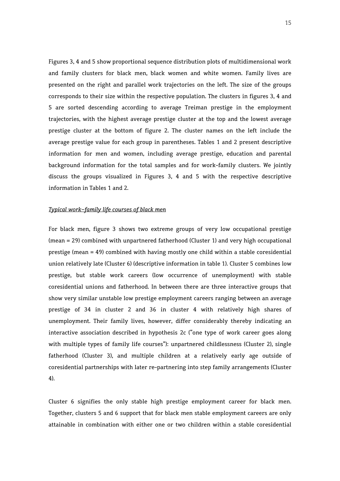Figures 3, 4 and 5 show proportional sequence distribution plots of multidimensional work and family clusters for black men, black women and white women. Family lives are presented on the right and parallel work trajectories on the left. The size of the groups corresponds to their size within the respective population. The clusters in figures 3, 4 and 5 are sorted descending according to average Treiman prestige in the employment trajectories, with the highest average prestige cluster at the top and the lowest average prestige cluster at the bottom of figure 2. The cluster names on the left include the average prestige value for each group in parentheses. Tables 1 and 2 present descriptive information for men and women, including average prestige, education and parental background information for the total samples and for work-family clusters. We jointly discuss the groups visualized in Figures 3, 4 and 5 with the respective descriptive information in Tables 1 and 2.

#### *Typical work-family life courses of black men*

For black men, figure 3 shows two extreme groups of very low occupational prestige (mean = 29) combined with unpartnered fatherhood (Cluster 1) and very high occupational prestige (mean = 49) combined with having mostly one child within a stable coresidential union relatively late (Cluster 6) (descriptive information in table 1). Cluster 5 combines low prestige, but stable work careers (low occurrence of unemployment) with stable coresidential unions and fatherhood. In between there are three interactive groups that show very similar unstable low prestige employment careers ranging between an average prestige of 34 in cluster 2 and 36 in cluster 4 with relatively high shares of unemployment. Their family lives, however, differ considerably thereby indicating an interactive association described in hypothesis 2c ("one type of work career goes along with multiple types of family life courses"): unpartnered childlessness (Cluster 2), single fatherhood (Cluster 3), and multiple children at a relatively early age outside of coresidential partnerships with later re-partnering into step family arrangements (Cluster 4).

Cluster 6 signifies the only stable high prestige employment career for black men. Together, clusters 5 and 6 support that for black men stable employment careers are only attainable in combination with either one or two children within a stable coresidential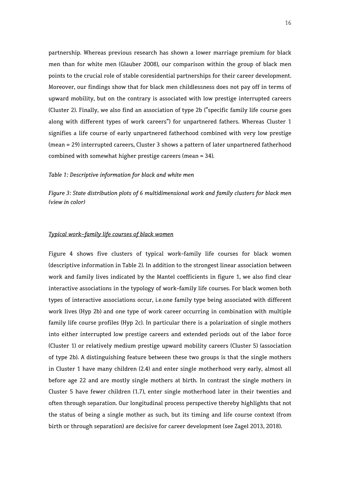partnership. Whereas previous research has shown a lower marriage premium for black men than for white men (Glauber 2008), our comparison within the group of black men points to the crucial role of stable coresidential partnerships for their career development. Moreover, our findings show that for black men childlessness does not pay off in terms of upward mobility, but on the contrary is associated with low prestige interrupted careers (Cluster 2). Finally, we also find an association of type 2b ("specific family life course goes along with different types of work careers") for unpartnered fathers. Whereas Cluster 1 signifies a life course of early unpartnered fatherhood combined with very low prestige (mean = 29) interrupted careers, Cluster 3 shows a pattern of later unpartnered fatherhood combined with somewhat higher prestige careers (mean = 34).

#### *Table 1: Descriptive information for black and white men*

*Figure 3: State distribution plots of 6 multidimensional work and family clusters for black men (view in color)* 

#### *Typical work-family life courses of black women*

Figure 4 shows five clusters of typical work-family life courses for black women (descriptive information in Table 2). In addition to the strongest linear association between work and family lives indicated by the Mantel coefficients in figure 1, we also find clear interactive associations in the typology of work-family life courses. For black women both types of interactive associations occur, i.e.one family type being associated with different work lives (Hyp 2b) and one type of work career occurring in combination with multiple family life course profiles (Hyp 2c). In particular there is a polarization of single mothers into either interrupted low prestige careers and extended periods out of the labor force (Cluster 1) or relatively medium prestige upward mobility careers (Cluster 5) (association of type 2b). A distinguishing feature between these two groups is that the single mothers in Cluster 1 have many children (2.4) and enter single motherhood very early, almost all before age 22 and are mostly single mothers at birth. In contrast the single mothers in Cluster 5 have fewer children (1.7), enter single motherhood later in their twenties and often through separation. Our longitudinal process perspective thereby highlights that not the status of being a single mother as such, but its timing and life course context (from birth or through separation) are decisive for career development (see Zagel 2013, 2018).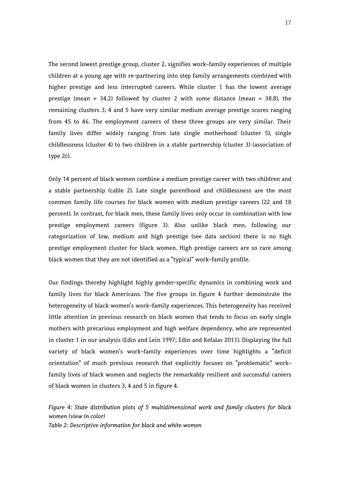The second lowest prestige group, cluster 2, signifies work-family experiences of multiple children at a young age with re-partnering into step family arrangements combined with higher prestige and less interrupted careers. While cluster 1 has the lowest average prestige (mean = 34.2) followed by cluster 2 with some distance (mean = 38.8), the remaining clusters 3, 4 and 5 have very similar medium average prestige scores ranging from 45 to 46. The employment careers of these three groups are very similar. Their family lives differ widely ranging from late single motherhood (cluster 5), single childlessness (cluster 4) to two children in a stable partnership (cluster 3) (association of type 2c).

Only 14 percent of black women combine a medium prestige career with two children and a stable partnership (cable 2). Late single parenthood and childlessness are the most common family life courses for black women with medium prestige careers (22 and 18 percent). In contrast, for black men, these family lives only occur in combination with low prestige employment careers (figure 3). Also unlike black men, following our categorization of low, medium and high prestige (see data section) there is no high prestige employment cluster for black women. High prestige careers are so rare among black women that they are not identified as a "typical" work-family profile.

Our findings thereby highlight highly gender-specific dynamics in combining work and family lives for black Americans. The five groups in figure 4 further demonstrate the heterogeneity of black women's work-family experiences. This heterogeneity has received little attention in previous research on black women that tends to focus on early single mothers with precarious employment and high welfare dependency, who are represented in cluster 1 in our analysis (Edin and Lein 1997; Edin and Kefalas 2011). Displaying the full variety of black women's work-family experiences over time highlights a "deficit orientation" of much previous research that explicitly focuses on "problematic" workfamily lives of black women and neglects the remarkably resilient and successful careers of black women in clusters 3, 4 and 5 in figure 4.

*Figure 4: State distribution plots of 5 multidimensional work and family clusters for black women (view in color) Table 2: Descriptive information for black and white women*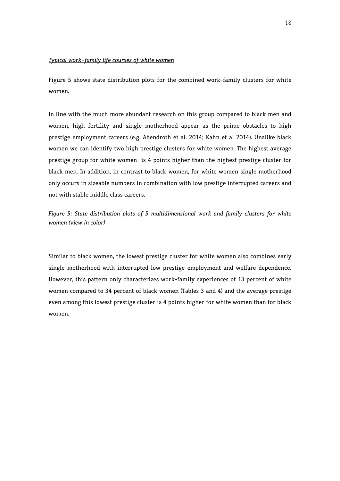#### *Typical work-family life courses of white women*

Figure 5 shows state distribution plots for the combined work-family clusters for white women.

In line with the much more abundant research on this group compared to black men and women, high fertility and single motherhood appear as the prime obstacles to high prestige employment careers (e.g. Abendroth et al. 2014; Kahn et al 2014). Unalike black women we can identify two high prestige clusters for white women. The highest average prestige group for white women is 4 points higher than the highest prestige cluster for black men. In addition, in contrast to black women, for white women single motherhood only occurs in sizeable numbers in combination with low prestige interrupted careers and not with stable middle class careers.

*Figure 5: State distribution plots of 5 multidimensional work and family clusters for white women (view in color)* 

Similar to black women, the lowest prestige cluster for white women also combines early single motherhood with interrupted low prestige employment and welfare dependence. However, this pattern only characterizes work-family experiences of 13 percent of white women compared to 34 percent of black women (Tables 3 and 4) and the average prestige even among this lowest prestige cluster is 4 points higher for white women than for black women.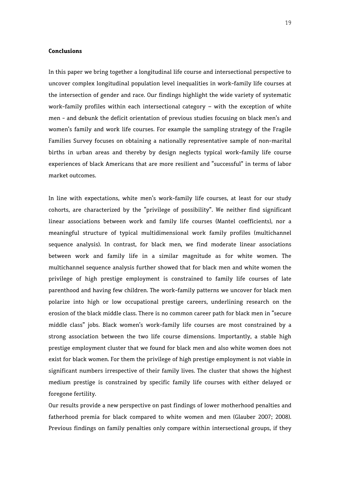#### **Conclusions**

In this paper we bring together a longitudinal life course and intersectional perspective to uncover complex longitudinal population level inequalities in work-family life courses at the intersection of gender and race. Our findings highlight the wide variety of systematic work-family profiles within each intersectional category – with the exception of white men - and debunk the deficit orientation of previous studies focusing on black men's and women's family and work life courses. For example the sampling strategy of the Fragile Families Survey focuses on obtaining a nationally representative sample of non-marital births in urban areas and thereby by design neglects typical work-family life course experiences of black Americans that are more resilient and "successful" in terms of labor market outcomes.

In line with expectations, white men's work-family life courses, at least for our study cohorts, are characterized by the "privilege of possibility". We neither find significant linear associations between work and family life courses (Mantel coefficients), nor a meaningful structure of typical multidimensional work family profiles (multichannel sequence analysis). In contrast, for black men, we find moderate linear associations between work and family life in a similar magnitude as for white women. The multichannel sequence analysis further showed that for black men and white women the privilege of high prestige employment is constrained to family life courses of late parenthood and having few children. The work-family patterns we uncover for black men polarize into high or low occupational prestige careers, underlining research on the erosion of the black middle class. There is no common career path for black men in "secure middle class" jobs. Black women's work-family life courses are most constrained by a strong association between the two life course dimensions. Importantly, a stable high prestige employment cluster that we found for black men and also white women does not exist for black women. For them the privilege of high prestige employment is not viable in significant numbers irrespective of their family lives. The cluster that shows the highest medium prestige is constrained by specific family life courses with either delayed or foregone fertility.

Our results provide a new perspective on past findings of lower motherhood penalties and fatherhood premia for black compared to white women and men (Glauber 2007; 2008). Previous findings on family penalties only compare within intersectional groups, if they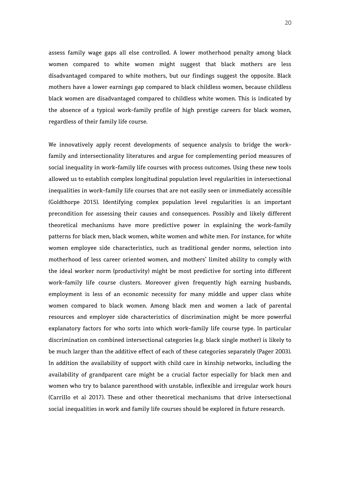assess family wage gaps all else controlled. A lower motherhood penalty among black women compared to white women might suggest that black mothers are less disadvantaged compared to white mothers, but our findings suggest the opposite. Black mothers have a lower earnings gap compared to black childless women, because childless black women are disadvantaged compared to childless white women. This is indicated by the absence of a typical work-family profile of high prestige careers for black women, regardless of their family life course.

We innovatively apply recent developments of sequence analysis to bridge the workfamily and intersectionality literatures and argue for complementing period measures of social inequality in work-family life courses with process outcomes. Using these new tools allowed us to establish complex longitudinal population level regularities in intersectional inequalities in work-family life courses that are not easily seen or immediately accessible (Goldthorpe 2015). Identifying complex population level regularities is an important precondition for assessing their causes and consequences. Possibly and likely different theoretical mechanisms have more predictive power in explaining the work-family patterns for black men, black women, white women and white men. For instance, for white women employee side characteristics, such as traditional gender norms, selection into motherhood of less career oriented women, and mothers' limited ability to comply with the ideal worker norm (productivity) might be most predictive for sorting into different work-family life course clusters. Moreover given frequently high earning husbands, employment is less of an economic necessity for many middle and upper class white women compared to black women. Among black men and women a lack of parental resources and employer side characteristics of discrimination might be more powerful explanatory factors for who sorts into which work-family life course type. In particular discrimination on combined intersectional categories (e.g. black single mother) is likely to be much larger than the additive effect of each of these categories separately (Pager 2003). In addition the availability of support with child care in kinship networks, including the availability of grandparent care might be a crucial factor especially for black men and women who try to balance parenthood with unstable, inflexible and irregular work hours (Carrillo et al 2017). These and other theoretical mechanisms that drive intersectional social inequalities in work and family life courses should be explored in future research.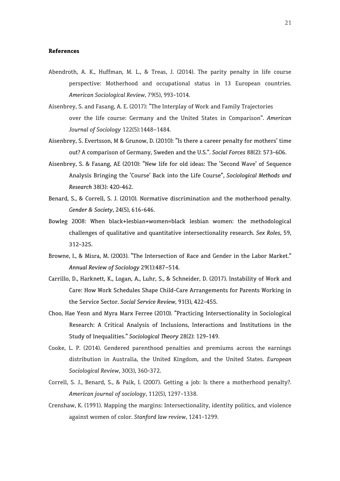#### **References**

- Abendroth, A. K., Huffman, M. L., & Treas, J. (2014). The parity penalty in life course perspective: Motherhood and occupational status in 13 European countries. *American Sociological Review*, 79(5), 993-1014.
- Aisenbrey, S. and Fasang, A. E. (2017): "The Interplay of Work and Family Trajectories over the life course: Germany and the United States in Comparison". *American Journal of Sociology* 122(5):1448–1484.
- Aisenbrey, S. Evertsson, M & Grunow, D. (2010): "Is there a career penalty for mothers' time out? A comparison of Germany, Sweden and the U.S.". *Social Forces* 88(2): 573-606.
- Aisenbrey, S. & Fasang, AE (2010): "New life for old ideas: The 'Second Wave' of Sequence Analysis Bringing the 'Course' Back into the Life Course", *Sociological Methods and Research* 38(3): 420-462.
- Benard, S., & Correll, S. J. (2010). Normative discrimination and the motherhood penalty. *Gender & Society*, 24(5), 616-646.
- Bowleg 2008: When black+lesbian+women=black lesbian women: the methodological challenges of qualitative and quantitative intersectionality research. *Sex Roles*, 59, 312-325.
- Browne, I., & Misra, M. (2003). "The Intersection of Race and Gender in the Labor Market." *Annual Review of Sociology* 29(1):487–514.
- Carrillo, D., Harknett, K., Logan, A., Luhr, S., & Schneider, D. (2017). Instability of Work and Care: How Work Schedules Shape Child-Care Arrangements for Parents Working in the Service Sector. *Social Service Review*, 91(3), 422-455.
- Choo, Hae Yeon and Myra Marx Ferree (2010). "Practicing Intersectionality in Sociological Research: A Critical Analysis of Inclusions, Interactions and Institutions in the Study of Inequalities." *Sociological Theory* 28(2): 129-149.
- Cooke, L. P. (2014). Gendered parenthood penalties and premiums across the earnings distribution in Australia, the United Kingdom, and the United States. *European Sociological Review*, 30(3), 360-372.
- Correll, S. J., Benard, S., & Paik, I. (2007). Getting a job: Is there a motherhood penalty?. *American journal of sociology*, 112(5), 1297-1338.
- Crenshaw, K. (1991). Mapping the margins: Intersectionality, identity politics, and violence against women of color. *Stanford law review*, 1241-1299.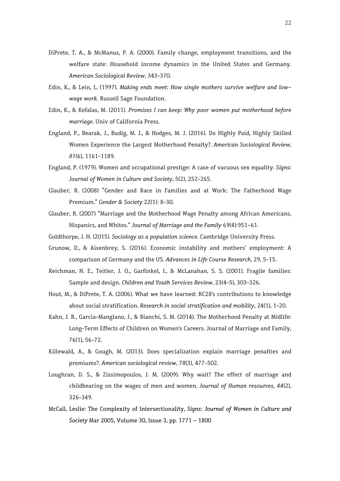- DiPrete, T. A., & McManus, P. A. (2000). Family change, employment transitions, and the welfare state: Household income dynamics in the United States and Germany. *American Sociological Review*, 343-370.
- Edin, K., & Lein, L. (1997). *Making ends meet: How single mothers survive welfare and lowwage work*. Russell Sage Foundation.
- Edin, K., & Kefalas, M. (2011). *Promises I can keep: Why poor women put motherhood before marriage*. Univ of California Press.
- England, P., Bearak, J., Budig, M. J., & Hodges, M. J. (2016). Do Highly Paid, Highly Skilled Women Experience the Largest Motherhood Penalty?. *American Sociological Review*, *81*(6), 1161-1189.
- England, P. (1979). Women and occupational prestige: A case of vacuous sex equality. *Signs: Journal of Women in Culture and Society*, 5(2), 252-265.
- Glauber, R. (2008) "Gender and Race in Families and at Work: The Fatherhood Wage Premium." *Gender & Society* 22(1): 8-30.
- Glauber, R. (2007) "Marriage and the Motherhood Wage Penalty among African Americans, Hispanics, and Whites." *Journal of Marriage and the Family* 69(4):951–61.
- Goldthorpe, J. H. (2015). *Sociology as a population science.* Cambridge University Press.
- Grunow, D., & Aisenbrey, S. (2016). Economic instability and mothers' employment: A comparison of Germany and the US. *Advances in Life Course Research*, 29, 5-15.
- Reichman, N. E., Teitler, J. O., Garfinkel, I., & McLanahan, S. S. (2001). Fragile families: Sample and design. *Children and Youth Services Review*, 23(4-5), 303-326.
- Hout, M., & DiPrete, T. A. (2006). What we have learned: RC28's contributions to knowledge about social stratification. *Research in social stratification and mobility*, 24(1), 1-20.
- Kahn, J. R., García-Manglano, J., & Bianchi, S. M. (2014). The Motherhood Penalty at Midlife: Long-Term Effects of Children on Women's Careers. Journal of Marriage and Family, 76(1), 56-72.
- Killewald, A., & Gough, M. (2013). Does specialization explain marriage penalties and premiums?. *American sociological review*, *78*(3), 477-502.
- Loughran, D. S., & Zissimopoulos, J. M. (2009). Why wait? The effect of marriage and childbearing on the wages of men and women. *Journal of Human resources*, *44*(2), 326-349.
- McCall, Leslie: The Complexity of Intersectionality, *Signs: Journal of Women in Culture and Society* Mar 2005, Volume 30, Issue 3, pp. 1771 – 1800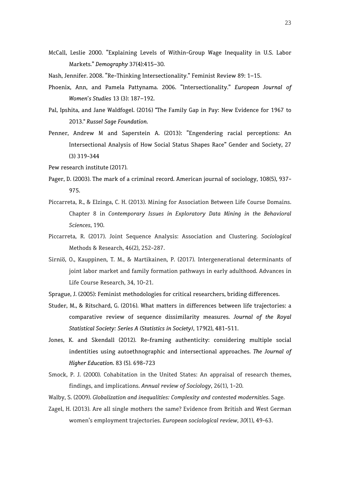- McCall, Leslie 2000. "Explaining Levels of Within-Group Wage Inequality in U.S. Labor Markets." *Demography* 37(4):415–30.
- Nash, Jennifer. 2008. "Re-Thinking Intersectionality." Feminist Review 89: 1–15.
- Phoenix, Ann, and Pamela Pattynama. 2006. "Intersectionality." *European Journal of Women's Studies* 13 (3): 187–192.
- Pal, Ipshita, and Jane Waldfogel. (2016) "The Family Gap in Pay: New Evidence for 1967 to 2013." *Russel Sage Foundation*.
- Penner, Andrew M and Saperstein A. (2013): "Engendering racial perceptions: An Intersectional Analysis of How Social Status Shapes Race" Gender and Society, 27 (3) 319-344
- Pew research institute (2017).
- Pager, D. (2003). The mark of a criminal record. American journal of sociology, 108(5), 937- 975.
- Piccarreta, R., & Elzinga, C. H. (2013). Mining for Association Between Life Course Domains. Chapter 8 in *Contemporary Issues in Exploratory Data Mining in the Behavioral Sciences*, 190.
- Piccarreta, R. (2017). Joint Sequence Analysis: Association and Clustering. *Sociological*  Methods & Research, 46(2), 252-287.
- Sirniö, O., Kauppinen, T. M., & Martikainen, P. (2017). Intergenerational determinants of joint labor market and family formation pathways in early adulthood. Advances in Life Course Research, 34, 10-21.
- Sprague, J. (2005): Feminist methodologies for critical researchers, briding differences.
- Studer, M., & Ritschard, G. (2016). What matters in differences between life trajectories: a comparative review of sequence dissimilarity measures. *Journal of the Royal Statistical Society: Series A (Statistics in Society)*, 179(2), 481-511.
- Jones, K. and Skendall (2012). Re-framing authenticity: considering multiple social indentities using autoethnographic and intersectional approaches. *The Journal of Higher Education*. 83 (5). 698-723
- Smock, P. J. (2000). Cohabitation in the United States: An appraisal of research themes, findings, and implications. *Annual review of Sociology*, 26(1), 1-20.
- Walby, S. (2009). *Globalization and inequalities: Complexity and contested modernities*. Sage.
- Zagel, H. (2013). Are all single mothers the same? Evidence from British and West German women's employment trajectories. *European sociological review*, *30*(1), 49-63.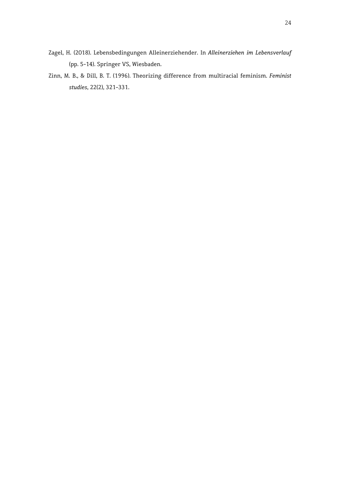- Zagel, H. (2018). Lebensbedingungen Alleinerziehender. In *Alleinerziehen im Lebensverlauf* (pp. 5-14). Springer VS, Wiesbaden.
- Zinn, M. B., & Dill, B. T. (1996). Theorizing difference from multiracial feminism. *Feminist studies*, 22(2), 321-331.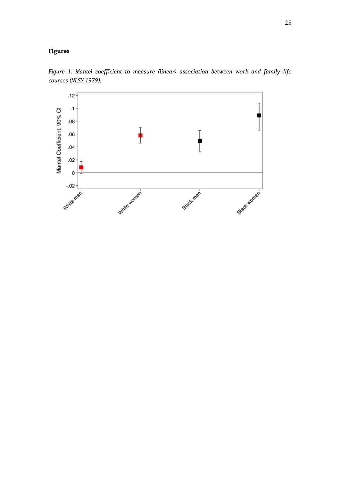### **Figures**



*Figure 1: Mantel coefficient to measure (linear) association between work and family life courses (NLSY 1979).*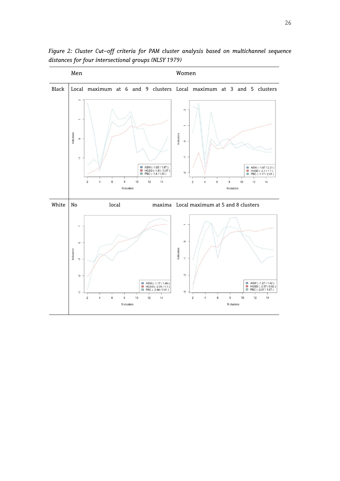

*Figure 2: Cluster Cut-off criteria for PAM cluster analysis based on multichannel sequence distances for four intersectional groups (NLSY 1979)*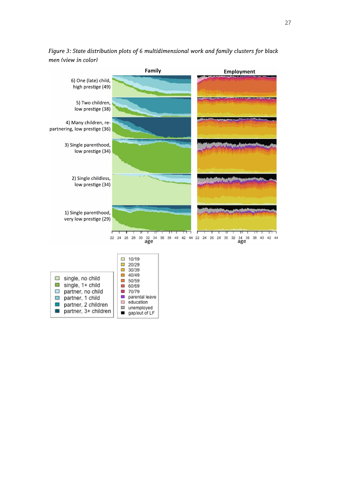

*Figure 3: State distribution plots of 6 multidimensional work and family clusters for black men (view in color)*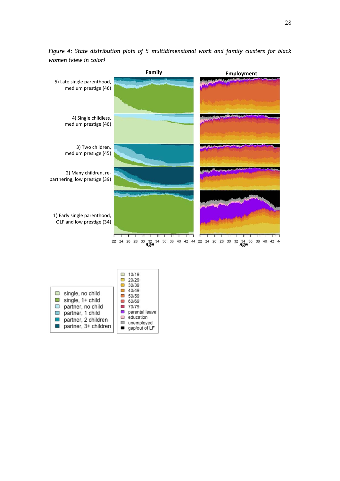

*Figure 4: State distribution plots of 5 multidimensional work and family clusters for black women (view in color)* 

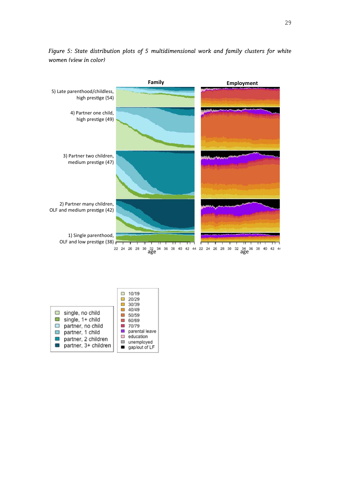

*Figure 5: State distribution plots of 5 multidimensional work and family clusters for white women (view in color)* 

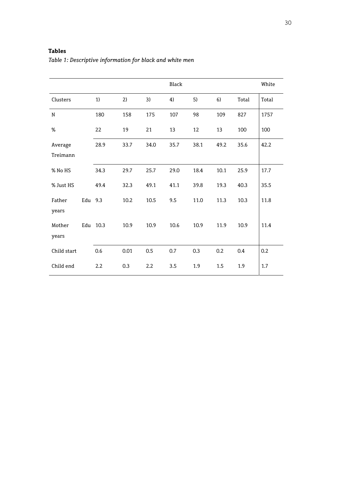### **Tables**

|             |         |          |      |      | Black |      |      |       | White |
|-------------|---------|----------|------|------|-------|------|------|-------|-------|
| Clusters    |         | 1)       | 2)   | 3)   | 4)    | 5)   | 6)   | Total | Total |
| N           |         | 180      | 158  | 175  | 107   | 98   | 109  | 827   | 1757  |
| $\%$        |         | 22       | 19   | 21   | 13    | 12   | 13   | 100   | 100   |
| Average     |         | 28.9     | 33.7 | 34.0 | 35.7  | 38.1 | 49.2 | 35.6  | 42.2  |
| Treimann    |         |          |      |      |       |      |      |       |       |
| % No HS     |         | 34.3     | 29.7 | 25.7 | 29.0  | 18.4 | 10.1 | 25.9  | 17.7  |
| % Just HS   |         | 49.4     | 32.3 | 49.1 | 41.1  | 39.8 | 19.3 | 40.3  | 35.5  |
| Father      | Edu 9.3 |          | 10.2 | 10.5 | 9.5   | 11.0 | 11.3 | 10.3  | 11.8  |
| years       |         |          |      |      |       |      |      |       |       |
| Mother      |         | Edu 10.3 | 10.9 | 10.9 | 10.6  | 10.9 | 11.9 | 10.9  | 11.4  |
| years       |         |          |      |      |       |      |      |       |       |
| Child start |         | 0.6      | 0.01 | 0.5  | 0.7   | 0.3  | 0.2  | 0.4   | 0.2   |
| Child end   |         | 2.2      | 0.3  | 2.2  | 3.5   | 1.9  | 1.5  | 1.9   | 1.7   |

*Table 1: Descriptive information for black and white men*